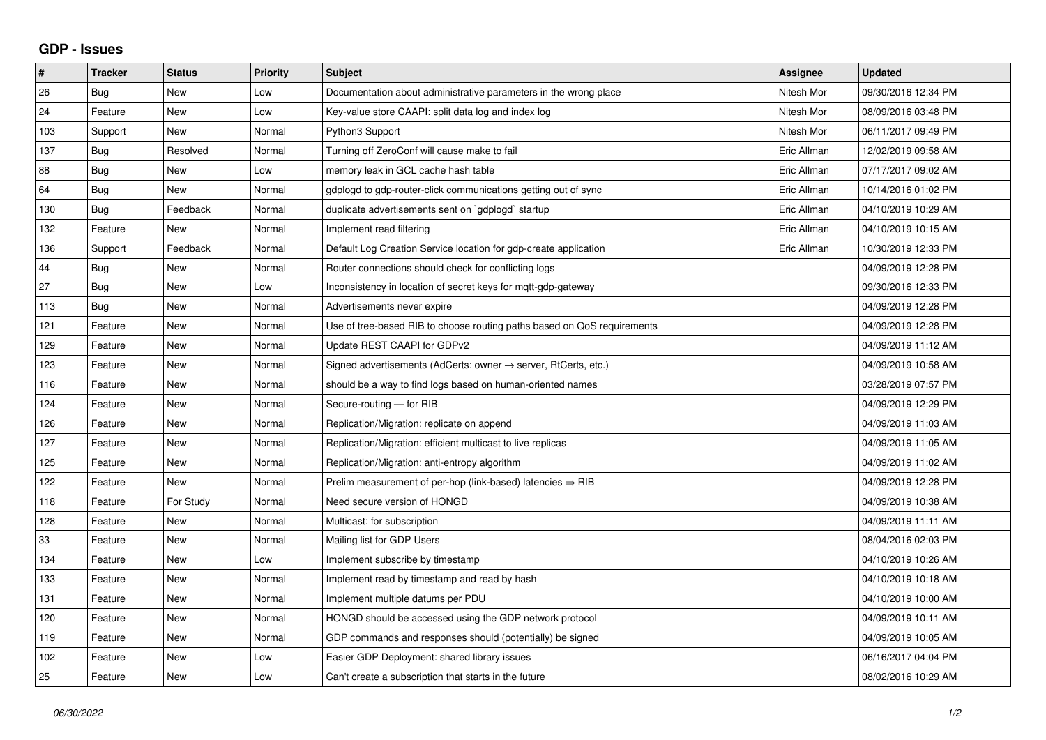## **GDP - Issues**

| #   | <b>Tracker</b> | <b>Status</b> | <b>Priority</b> | <b>Subject</b>                                                             | Assignee    | <b>Updated</b>      |
|-----|----------------|---------------|-----------------|----------------------------------------------------------------------------|-------------|---------------------|
| 26  | Bug            | <b>New</b>    | Low             | Documentation about administrative parameters in the wrong place           | Nitesh Mor  | 09/30/2016 12:34 PM |
| 24  | Feature        | <b>New</b>    | Low             | Key-value store CAAPI: split data log and index log                        | Nitesh Mor  | 08/09/2016 03:48 PM |
| 103 | Support        | <b>New</b>    | Normal          | Python3 Support                                                            | Nitesh Mor  | 06/11/2017 09:49 PM |
| 137 | Bug            | Resolved      | Normal          | Turning off ZeroConf will cause make to fail                               | Eric Allman | 12/02/2019 09:58 AM |
| 88  | Bug            | <b>New</b>    | Low             | memory leak in GCL cache hash table                                        | Eric Allman | 07/17/2017 09:02 AM |
| 64  | Bug            | <b>New</b>    | Normal          | gdplogd to gdp-router-click communications getting out of sync             | Eric Allman | 10/14/2016 01:02 PM |
| 130 | Bug            | Feedback      | Normal          | duplicate advertisements sent on `gdplogd` startup                         | Eric Allman | 04/10/2019 10:29 AM |
| 132 | Feature        | <b>New</b>    | Normal          | Implement read filtering                                                   | Eric Allman | 04/10/2019 10:15 AM |
| 136 | Support        | Feedback      | Normal          | Default Log Creation Service location for gdp-create application           | Eric Allman | 10/30/2019 12:33 PM |
| 44  | Bug            | <b>New</b>    | Normal          | Router connections should check for conflicting logs                       |             | 04/09/2019 12:28 PM |
| 27  | <b>Bug</b>     | <b>New</b>    | Low             | Inconsistency in location of secret keys for mgtt-gdp-gateway              |             | 09/30/2016 12:33 PM |
| 113 | Bug            | <b>New</b>    | Normal          | Advertisements never expire                                                |             | 04/09/2019 12:28 PM |
| 121 | Feature        | <b>New</b>    | Normal          | Use of tree-based RIB to choose routing paths based on QoS requirements    |             | 04/09/2019 12:28 PM |
| 129 | Feature        | <b>New</b>    | Normal          | Update REST CAAPI for GDPv2                                                |             | 04/09/2019 11:12 AM |
| 123 | Feature        | New           | Normal          | Signed advertisements (AdCerts: owner $\rightarrow$ server, RtCerts, etc.) |             | 04/09/2019 10:58 AM |
| 116 | Feature        | <b>New</b>    | Normal          | should be a way to find logs based on human-oriented names                 |             | 03/28/2019 07:57 PM |
| 124 | Feature        | <b>New</b>    | Normal          | Secure-routing - for RIB                                                   |             | 04/09/2019 12:29 PM |
| 126 | Feature        | <b>New</b>    | Normal          | Replication/Migration: replicate on append                                 |             | 04/09/2019 11:03 AM |
| 127 | Feature        | <b>New</b>    | Normal          | Replication/Migration: efficient multicast to live replicas                |             | 04/09/2019 11:05 AM |
| 125 | Feature        | <b>New</b>    | Normal          | Replication/Migration: anti-entropy algorithm                              |             | 04/09/2019 11:02 AM |
| 122 | Feature        | New           | Normal          | Prelim measurement of per-hop (link-based) latencies $\Rightarrow$ RIB     |             | 04/09/2019 12:28 PM |
| 118 | Feature        | For Study     | Normal          | Need secure version of HONGD                                               |             | 04/09/2019 10:38 AM |
| 128 | Feature        | <b>New</b>    | Normal          | Multicast: for subscription                                                |             | 04/09/2019 11:11 AM |
| 33  | Feature        | <b>New</b>    | Normal          | Mailing list for GDP Users                                                 |             | 08/04/2016 02:03 PM |
| 134 | Feature        | <b>New</b>    | Low             | Implement subscribe by timestamp                                           |             | 04/10/2019 10:26 AM |
| 133 | Feature        | New           | Normal          | Implement read by timestamp and read by hash                               |             | 04/10/2019 10:18 AM |
| 131 | Feature        | <b>New</b>    | Normal          | Implement multiple datums per PDU                                          |             | 04/10/2019 10:00 AM |
| 120 | Feature        | <b>New</b>    | Normal          | HONGD should be accessed using the GDP network protocol                    |             | 04/09/2019 10:11 AM |
| 119 | Feature        | <b>New</b>    | Normal          | GDP commands and responses should (potentially) be signed                  |             | 04/09/2019 10:05 AM |
| 102 | Feature        | <b>New</b>    | Low             | Easier GDP Deployment: shared library issues                               |             | 06/16/2017 04:04 PM |
| 25  | Feature        | New           | Low             | Can't create a subscription that starts in the future                      |             | 08/02/2016 10:29 AM |